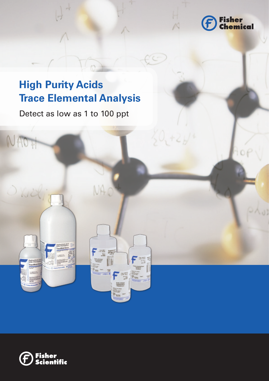

# **High Purity Acids Trace Elemental Analysis**

Detect as low as 1 to 100 ppt

NAOF



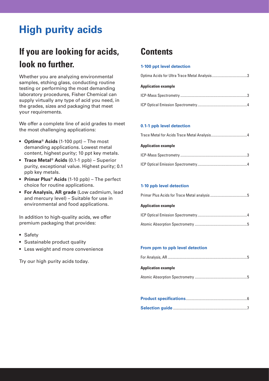# **High purity acids**

# **If you are looking for acids, look no further.**

Whether you are analyzing environmental samples, etching glass, conducting routine testing or performing the most demanding laboratory procedures, Fisher Chemical can supply virtually any type of acid you need, in the grades, sizes and packaging that meet your requirements.

We offer a complete line of acid grades to meet the most challenging applications:

- • **Optima® Acids** (1-100 ppt) The most demanding applications. Lowest metal content, highest purity; 10 ppt key metals.
- • **Trace Metal® Acids** (0.1-1 ppb) Superior purity, exceptional value. Highest purity; 0.1 ppb key metals.
- • **Primar Plus® Acids** (1-10 ppb) The perfect choice for routine applications.
- • **For Analysis, AR grade** (Low cadmium, lead and mercury level) – Suitable for use in environmental and food applications.

In addition to high-quality acids, we offer premium packaging that provides:

- Safety
- Sustainable product quality
- Less weight and more convenience

Try our high purity acids today.

# **Contents**

## **1-100 ppt level detection**

| <b>Application example</b> |
|----------------------------|
|                            |
|                            |

## **0.1-1 ppb level detection**

| <b>Application example</b> |
|----------------------------|
|                            |
|                            |

## **1-10 ppb level detection**

| <b>Application example</b> |  |
|----------------------------|--|
|                            |  |

## **From ppm to ppb level detection**

| <b>Application example</b> |  |
|----------------------------|--|
|                            |  |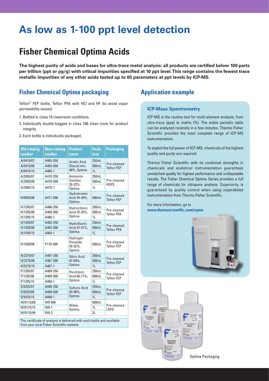# **As low as 1-100 ppt level detection**

# **Fisher Chemical Optima Acids**

**The highest purity of acids and bases for ultra-trace metal analysis: all products are certified below 100 parts per trillion (ppt or pg/g) with critical impurities specified at 10 ppt level. This range contains the fewest trace metallic impurities of any other acids tested up to 65 parameters at ppt levels by ICP-MS.**

# **Fisher Chemical Optima packaging**

Teflon® FEP bottle, Teflon PFA with HCl and HF (to avoid vapor permeability issues)

- 1. Bottled in class 10 cleanroom conditions.
- 2. Individually double-bagged in class 100 clean room for product integrity.
- 3. Each bottle is individually packaged.

| <b>Old catalog</b><br>number | <b>New catalog</b><br>number | <b>Product</b><br>name                       | <b>Pack</b><br>size | <b>Packaging</b>                 |  |
|------------------------------|------------------------------|----------------------------------------------|---------------------|----------------------------------|--|
| A/0415/07                    | A465-250                     | <b>Acetic Acid</b>                           | 250mL               | Pre-cleaned                      |  |
| A/0415/08                    | A465-500                     | Glacial min.                                 | 500mL               | <b>Teflon FFP</b>                |  |
| A/0415/15                    | A465-1                       | 99%, Optima                                  | 11                  |                                  |  |
| A/3365/07                    | A470-250                     | Ammonia                                      | 250mL               |                                  |  |
| A/3365/08                    | A470-500                     | Solution<br>$20 - 22\%$ .                    | 500mL               | Pre-cleaned<br><b>HDPF</b>       |  |
| A/3365/15                    | A470-1                       | Optima                                       | 11                  |                                  |  |
| H/0955/08                    | A471-500                     | Hydrobromic<br>Acid 44-49%,<br><b>Optima</b> | 500ml               | Pre-cleaned<br><b>Teflon FFP</b> |  |
| H/1205/07                    | A466-250                     | Hydrochloric                                 | 250mL               |                                  |  |
| H/1205/08                    | A466-500                     | Acid 32-35%,                                 | 500mL               | Pre-cleaned<br><b>Teflon PFA</b> |  |
| H/1205/15                    | A466-1                       | Optima                                       | 11                  |                                  |  |
| H/1435/07                    | A463-250                     | Hydrofluoric                                 | 250mL               |                                  |  |
| H/1435/08                    | A463-500                     | Acid 47-51%,                                 | 500mL               | Pre-cleaned<br><b>Teflon PFA</b> |  |
| H/1435/15                    | A463-1                       | <b>Optima</b>                                | 1 <sub>L</sub>      |                                  |  |
| H/1830/08                    | P170-500                     | Hydrogen<br>Peroxide<br>30-32%,<br>Optima    | 500mL               | Pre-cleaned<br><b>Teflon FFP</b> |  |
| N/2275/07                    | A467-250                     | <b>Nitric Acid</b>                           | 250mL               |                                  |  |
| N/2275/08                    | A467-500                     | 67-69%.                                      | 500mL               | Pre-cleaned<br><b>Teflon FEP</b> |  |
| N/2275/15                    | A467-1                       | <b>Optima</b>                                | 11                  |                                  |  |
| P/1295/07                    | A469-250                     | Perchloric                                   | 250ml               |                                  |  |
| P/1295/08                    | A469-500                     | Acid 65-71%,                                 | 500mL               | Pre-cleaned<br><b>Teflon FEP</b> |  |
| P/1295/15                    | A469-1                       | <b>Optima</b>                                | 11                  |                                  |  |
| S/9225/07                    | A468-250                     | Sulfuric Acid                                | 250mL               | Pre-cleaned                      |  |
| S/9225/08                    | A468-500                     | 93-98%,                                      | 500mL               | <b>Teflon FEP</b>                |  |
| S/9225/15                    | A468-1                       | <b>Optima</b>                                | 11                  |                                  |  |
| W/0115/08                    | W9-500                       |                                              | 500mL               |                                  |  |
| W/0115/15                    | $W9-1$                       | Water,<br>Optima                             | 1 <sub>L</sub>      | Pre-cleaned<br>LDPE              |  |
| W/0115/99                    | $W9-2$                       |                                              | 2L                  |                                  |  |

The certificate of analysis is delivered with each bottle and available from your local Fisher Scientific website.

# **Application example**

## **ICP-Mass Spectrometry**

ICP-MS is the routine tool for multi-element analysis, from ultra-trace (ppq) to matrix (%). The entire periodic table can be analyzed routinely in a few minutes. Thermo Fisher Scientific provides the most complete range of ICP-MS instrumentation.

To exploit the full power of ICP-MS, chemicals of the highest quality and purity are required.

Thermo Fisher Scientific with its combined strengths in chemicals and analytical instrumentation guarantees unmatched quality for highest performance and undisputable results. The Fisher Chemical Optima Series provides a full range of chemicals for ultrapure analysis. Superiority is guaranteed by quality control when using unparalleled instrumentation from Thermo Fisher Scientific.

For more information, go to **<www.thermoscientific.com/icpms>**





Optima Packaging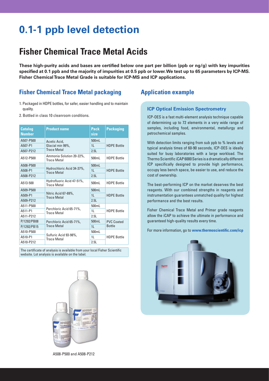# **0.1-1 ppb level detection**

# **Fisher Chemical Trace Metal Acids**

**These high-purity acids and bases are certified below one part per billion (ppb or ng/g) with key impurities specified at 0.1 ppb and the majority of impurities at 0.5 ppb or lower. We test up to 65 parameters by ICP-MS. Fisher Chemical Trace Metal Grade is suitable for ICP-MS and ICP applications.**

# **Fisher Chemical Trace Metal packaging**

- 1. Packaged in HDPE bottles, for safer, easier handling and to maintain quality.
- 2. Bottled in class 10 cleanroom conditions.

| <b>Catalog</b><br><b>Number</b> | <b>Product name</b>                             | <b>Pack</b><br>size | <b>Packaging</b>   |  |
|---------------------------------|-------------------------------------------------|---------------------|--------------------|--|
| A507-P500                       | Acetic Acid,                                    | 500mL               |                    |  |
| A507-P1                         | Glacial min 99%,                                | 11                  | <b>HDPE Bottle</b> |  |
| A507-P212                       | <b>Trace Metal</b>                              | 2.51                |                    |  |
| A512-P500                       | Ammonia Solution 20-22%,<br><b>Trace Metal</b>  | 500mL               | <b>HDPF Bottle</b> |  |
| A508-P500                       |                                                 | 500mL               |                    |  |
| A508-P1                         | Hydrochloric Acid 34-37%,<br><b>Trace Metal</b> | 11                  | <b>HDPE Bottle</b> |  |
| A508-P212                       |                                                 | 2.5L                |                    |  |
| A513-500                        | Hydrofluoric Acid 47-51%,<br><b>Trace Metal</b> | 500mL               | <b>HDPE Bottle</b> |  |
| A509-P500                       |                                                 | 500mL               |                    |  |
| A509-P1                         | Nitric Acid 67-69%,<br><b>Trace Metal</b>       | 11                  | <b>HDPE Bottle</b> |  |
| A509-P212                       |                                                 | 2.5L                |                    |  |
| A511-P500                       |                                                 | 500mL               |                    |  |
| A511-P1                         | Perchloric Acid 65-71%,<br><b>Trace Metal</b>   | 11                  | <b>HDPF Bottle</b> |  |
| A511-P212                       |                                                 | 2.5L                |                    |  |
| P/1292/PB08                     | Perchloric Acid 65-71%,                         | 500mL               | <b>PVC Coated</b>  |  |
| P/1292/PB15                     | <b>Trace Metal</b>                              | 1 <sub>L</sub>      | <b>Bottle</b>      |  |
| A510-P500                       |                                                 | 500mL               |                    |  |
| A510-P1                         | Sulfuric Acid 93-98%,<br><b>Trace Metal</b>     | 1L                  | <b>HDPE Bottle</b> |  |
| A510-P212                       |                                                 | 2.5L                |                    |  |
|                                 |                                                 |                     |                    |  |

The certificate of analysis is available from your local Fisher Scientific website. Lot analysis is available on the label.



# **Application example**

## **ICP Optical Emission Spectrometry**

ICP-OES is a fast multi-element analysis technique capable of determining up to 72 elements in a very wide range of samples, including food, environmental, metallurgy and petrochemical samples.

With detection limits ranging from sub ppb to % levels and typical analysis times of 60-90 seconds, ICP-OES is ideally suited for busy laboratories with a large workload. The Thermo Scientific iCAP 6000 Series is a dramatically different ICP specifically designed to provide high performance, occupy less bench space, be easier to use, and reduce the cost of ownership.

The best-performing ICP on the market deserves the best reagents. With our combined strengths in reagents and instrumentation guarantees unmatched quality for highest performance and the best results.

Fisher Chemical Trace Metal and Primar grade reagents allow the iCAP to achieve the ultimate in performance and guaranteed high-quality results every time.

For more information, go to **www.thermoscientific.com/icp**

![](_page_3_Picture_16.jpeg)

A508-P500 and A508-P212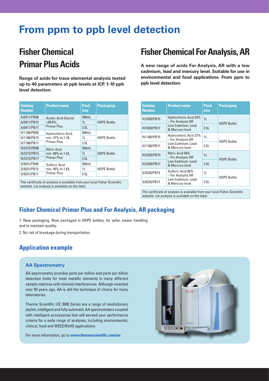# **From ppm to ppb level detection**

# **Fisher Chemical Primar Plus Acids**

**Range of acids for trace elemental analysis tested up to 40 parameters at ppb levels at ICP. 1-10 ppb level detection.**

| <b>Catalog</b><br><b>Number</b> | <b>Product name</b>      | <b>Pack</b><br>size | <b>Packaging</b>   |  |
|---------------------------------|--------------------------|---------------------|--------------------|--|
| A/0411/PB08                     | Acetic Acid Glacial      | 500mL               |                    |  |
| A/0411/PB15                     | $>99.8\%$ ,              | 11                  | <b>HDPF Bottle</b> |  |
| A/0411/PB17                     | <b>Primar Plus</b>       | 2.5L                |                    |  |
| H/1196/PB08                     | <b>Hydrochloric Acid</b> | 500mL               |                    |  |
| H/1196/PB15                     | min. 37% d=1.18,         | 11                  | <b>HDPE Bottle</b> |  |
| H/1196/PB17                     | Primar Plus              | 2.5L                |                    |  |
| N/2272/PB08                     | Nitric Acid              | 500mL               |                    |  |
| N/2272/PB15                     | min. 68% d=1.42,         | 1 <sub>L</sub>      | <b>HDPE Bottle</b> |  |
| N/2272/PB17                     | <b>Primar Plus</b>       | 2.5L                |                    |  |
| S/9231/PB08                     | Sulfuric Acid            | 500mL               |                    |  |
| S/9231/PB15                     | min. 95% d=1.83,         | 11                  | <b>HDPE Bottle</b> |  |
| S/9231/PB17                     | <b>Primar Plus</b>       | 2.5L                |                    |  |
|                                 |                          |                     |                    |  |

The certificate of analysis is available from your local Fisher Scientific website. Lot analysis is available on the label.

# **Fisher Chemical For Analysis, AR**

**A new range of acids For Analysis, AR with a low cadmium, lead and mercury level. Suitable for use in environmental and food applications. From ppm to ppb level detection.**

| <b>Catalog</b><br><b>Number</b> | <b>Product name</b>                        | <b>Pack</b><br>size | <b>Packaging</b>   |  |
|---------------------------------|--------------------------------------------|---------------------|--------------------|--|
| H/1020/PB15                     | Hydrochloric Acid 25%<br>- For Analysis AR | 1 <sub>L</sub>      |                    |  |
| H/1020/PB17                     | Low Cadmium, Lead<br>& Mercury level       | 2.5L                | <b>HDPE Bottle</b> |  |
| H/1180/PB15                     | Hydrochloric Acid 37%<br>- For Analysis AR | 1L                  |                    |  |
| H/1180/PB17                     | Low Cadmium, Lead<br>& Mercury level       | 2.51                | <b>HDPE Bottle</b> |  |
| N/2320/PB15                     | Nitric Acid 69%<br>- For Analysis AR       | 1 <sub>L</sub>      | <b>HDPE Bottle</b> |  |
| N/2320/PB17                     | Low Cadmium, Lead<br>& Mercury level       | 2.5L                |                    |  |
| S/9220/PB15                     | Sulfuric Acid 95%<br>- For Analysis AR     | 11                  | <b>HDPE Bottle</b> |  |
| S/9220/PB17                     | Low Cadmium, Lead<br>& Mercury level       | 2.5L                |                    |  |

The certificate of analysis is available from your local Fisher Scientific website. Lot analysis is available on the label.

# **Fisher Chemical Primar Plus and For Analysis, AR packaging**

1. New packaging. Now packaged in HDPE bottles, for safer, easier handling and to maintain quality.

2. No risk of breakage during transportation.

# **Application example**

## **AA Spectrometry**

AA spectrometry provides parts per million and parts per billion detection limits for most metallic elements in many different sample matrices with minimal interferences. Although invented over 50 years ago, AA is still the technique of choice for many laboratories.

Thermo Scientific iCE 3000 Series are a range of revolutionary stylish, intelligent and fully automatic AA spectrometers coupled with intelligent accessories that will exceed your performance criteria for a wide range of analyses, including environmental, clinical, food and WEEE/RoHS applications.

For more information, go to **www.thermoscientific.com/aa**

![](_page_4_Picture_17.jpeg)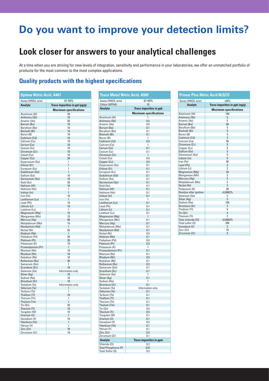# **Do you want to improve your detection limits?**

# **Look closer for answers to your analytical challenges**

At a time when you are striving for new levels of integration, sensitivity and performance in your laboratories, we offer an unmatched portfolio of products for the most common to the most complex applications.

# **Quality products with the highest specifications**

| <b>Optima Nitric Acid, A467</b> |                                        |  |  |
|---------------------------------|----------------------------------------|--|--|
| Assay (HNO3, w/w)               | 67-69%                                 |  |  |
| <b>Analyte</b>                  | Trace impurities in ppt $\frac{pg}{g}$ |  |  |
|                                 | <b>Maximum specifications</b>          |  |  |
| Aluminum (AI)                   | 20                                     |  |  |
| Antimony (Sb)                   | 10                                     |  |  |
| Arsenic (As)                    | 20                                     |  |  |
| Barium (Ba)                     | 10                                     |  |  |
| Beryllium (Be)                  | 10                                     |  |  |
| Bismuth (Bi)                    | 10                                     |  |  |
| Boron (B)                       | 10                                     |  |  |
| Cadmium (Cd)                    | 10                                     |  |  |
| Calcium (Ca)                    | 10                                     |  |  |
| Cerium (Ce)                     | 10<br>10                               |  |  |
| Cesium (Cs)<br>Chromium (Cr)    | 10                                     |  |  |
| Cobalt (Co)                     | 10                                     |  |  |
| Copper (Cu)                     | 20                                     |  |  |
| Dysprosium (Dy)                 | 1                                      |  |  |
| Erbium (Er)                     | 1                                      |  |  |
| Europium (Eu)                   | 1                                      |  |  |
| Gadolinium (Gd)                 | 1                                      |  |  |
| Gallium (Ga)                    | 10                                     |  |  |
| Germanium (Ge)                  | 10                                     |  |  |
| Gold (Au)                       | 20                                     |  |  |
| Hafnium (Hf)                    | 10                                     |  |  |
| Holmium (Ho)<br>Indium (In)     | 1<br>1                                 |  |  |
| Iron (Fe)                       | 10                                     |  |  |
| Lanthanum (La)                  | 1                                      |  |  |
| Lead (Pb)                       | 10                                     |  |  |
| Lithium (Li)                    | 10                                     |  |  |
| Lutetium (Lu)                   | 1                                      |  |  |
| Magnesium (Mg)                  | 10                                     |  |  |
| Manganese (Mn)                  | 10                                     |  |  |
| Mercury (Hg)                    | 50                                     |  |  |
| Molybdenum (Mo)                 | 10                                     |  |  |
| Neodymium (Nd)                  | 1                                      |  |  |
| Nickel (Ni)<br>Niobium (Nb)     | 20<br>1                                |  |  |
| Palladium (Pd)                  | 20                                     |  |  |
| Platinum (Pt)                   | 20                                     |  |  |
| Potassium (K)                   | 10                                     |  |  |
| Praseodymium (Pr)               | 1                                      |  |  |
| Rhenium (Re)                    | 10                                     |  |  |
| Rhodium (Rh)                    | 10                                     |  |  |
| Rubidium (Rb)                   | 10                                     |  |  |
| Ruthenium (Ru)                  | 20                                     |  |  |
| Samarium (Sm)                   | 1                                      |  |  |
| Scandium (Sc)                   | 10                                     |  |  |
| Selenium (Se)<br>Silver (Ag)    | Information only<br>10                 |  |  |
| Sodium (Na)                     | 10                                     |  |  |
| Strontium (Sr)                  | 10                                     |  |  |
| Tantalum (Ta)                   | Information only                       |  |  |
| Tellurium (Te)                  | 1                                      |  |  |
| Terbium (Tb)                    | 1                                      |  |  |
| Thallium (TI)                   | 10                                     |  |  |
| Thorium (Th)                    | 1                                      |  |  |
| Thulium (Tm)                    | 1                                      |  |  |
| Tin (Sn)                        | 20                                     |  |  |
| Titanium (Ti)                   | 10                                     |  |  |
| Tungsten (W)                    | 10                                     |  |  |
| Uranium (U)<br>Vanadium (V)     | 1<br>10                                |  |  |
| Ytterbium (Yb)                  | 1                                      |  |  |
| Yttrium (Y)                     | 1                                      |  |  |
| Zinc (Zn)                       | 10                                     |  |  |
| Zirconium (Zr)                  | 10                                     |  |  |

| <b>Trace Metal Nitric Acid, A509</b> |                                |  |
|--------------------------------------|--------------------------------|--|
| Assay (HN03, w/w)                    | 67-69%                         |  |
| Colour (APHA)                        | 10                             |  |
| <b>Analyte</b>                       | <b>Trace impurities in ppb</b> |  |
|                                      | <b>Maximum specifications</b>  |  |
| Aluminum (AI)<br>Antimony (Sb)       | 1<br>0.5                       |  |
| Arsenic (As)                         | 0.5                            |  |
| Barium (Ba)                          | 0.1                            |  |
| Beryllium (Be)                       | 0.1                            |  |
| Bismuth (Bi)<br>Boron (B)            | 0.1<br>1                       |  |
| Cadmium (Cd)                         | 0.5                            |  |
| Calcium (Ca)                         | 1                              |  |
| Cerium (Ce)                          | 0.1                            |  |
| Cesium (Cs)<br>Chromium (Cr)         | 0.1<br>$\mathbf{1}$            |  |
| Cobalt (Co)                          | 0.5                            |  |
| Copper (Cu)                          | 0.5                            |  |
| Dysprosium (Dy)                      | 0.1                            |  |
| Erbium (Er)<br>Europium (Eu)         | 0.1<br>0.1                     |  |
| Gadolinium (Gd)                      | 0.1                            |  |
| Gallium (Ga)                         | 0.1                            |  |
| Germanium (Ge)                       | 0.1                            |  |
| Gold (Au)<br>Hafnium (Hf)            | 0.1<br>0.1                     |  |
| Holmium (Ho)                         | 0.1                            |  |
| Indium (In)                          | 0.1                            |  |
| Iron (Fe)                            | 1                              |  |
| Lanthanum (La)                       | 0.1                            |  |
| Lead (Pb)<br>Lithium (Li)            | 0.1<br>0.1                     |  |
| Lutetium (Lu)                        | 0.1                            |  |
| Magnesium (Mg)                       | 1                              |  |
| Manganese (Mn)                       | 0.1                            |  |
| Mercury (Hg)<br>Molybdenum (Mo)      | 0.1<br>0.1                     |  |
| Neodymium (Nd)                       | 0.1                            |  |
| Nickel (Ni)                          | 0.5                            |  |
| Niobium (Nb)                         | 0.1                            |  |
| Palladium (Pd)<br>Platinum (Pt)      | 0.5<br>0.5                     |  |
| Potassium (K)                        | 1                              |  |
| Praseodymium (Pr)                    | 0.1                            |  |
| Rhenium (Re)                         | 0.1                            |  |
| Rhodium (Rh)<br>Rubidium (Rb)        | 0.5<br>0.1                     |  |
| Ruthenium (Ru)                       | 0.5                            |  |
| Samarium (Sm)                        | 0.1                            |  |
| Scandium (Sc)                        | 0.1                            |  |
| Selenium (Se)<br>Silver (Ag)         | 1<br>0.1                       |  |
| Sodium (Na)                          | 1                              |  |
| Strontium (Sr)                       | 0.1                            |  |
| Tantalum (Ta)                        | Information only               |  |
| Tellurium (Te)<br>Terbium (Tb)       | 0.1<br>0.1                     |  |
| Thallium (TI)                        | 0.1                            |  |
| Thorium (Th)                         | 0.1                            |  |
| Thulium (Tm)                         | 0.1                            |  |
| Tin (Sn)                             | 0.5                            |  |
| Titanium (Ti)<br>Tungsten (W)        | 0.5<br>0.1                     |  |
| Uranium (U)                          | 0.1                            |  |
| Vanadium (V)                         | 0.5                            |  |
| Ytterbium (Yb)                       | 0.1                            |  |
| Yttrium (Y)<br>Zinc (Zn)             | 0.1<br>0.5                     |  |
| Zirconium (Zr)                       | 0.1                            |  |
| <b>Analyte</b>                       | <b>Trace impurities in ppm</b> |  |
| Chloride (CI)                        | 0.2                            |  |
| Total Phosphorus (P)                 | 0.01                           |  |
| Total Sulfur (S)                     | 0.3                            |  |

| <b>Primar Plus Nitric Acid N/2272</b> |                                  |  |  |  |  |  |  |
|---------------------------------------|----------------------------------|--|--|--|--|--|--|
| Assay (HNO3, w/w)                     | $>68\%$                          |  |  |  |  |  |  |
| <b>Analyte</b>                        | Trace impurities in $ppb$ (ng/g) |  |  |  |  |  |  |
|                                       | <b>Maximum specifications</b>    |  |  |  |  |  |  |
| Aluminum (AI)                         | 100                              |  |  |  |  |  |  |
| Antimony (Sb)                         | 5                                |  |  |  |  |  |  |
| Arsenic (As)                          | 5                                |  |  |  |  |  |  |
| Barium (Ba)                           | 50                               |  |  |  |  |  |  |
| Beryllium (Be)                        | 5                                |  |  |  |  |  |  |
| <b>Bismuth (Bi)</b>                   | 5                                |  |  |  |  |  |  |
| Boron (B)                             | 5                                |  |  |  |  |  |  |
| Cadmium (Cd)                          | $\overline{2}$                   |  |  |  |  |  |  |
| Calcium (Ca)                          | 50                               |  |  |  |  |  |  |
| Chromium (Cr)                         | 5                                |  |  |  |  |  |  |
| Copper (Cu)                           | 5                                |  |  |  |  |  |  |
| Gallium (Ga)                          | 5                                |  |  |  |  |  |  |
| Germanium (Ge)                        | 5                                |  |  |  |  |  |  |
| Indium (In)                           | 5                                |  |  |  |  |  |  |
| Iron (Fe)                             | 50                               |  |  |  |  |  |  |
| Lead (Pb)                             | $\overline{2}$                   |  |  |  |  |  |  |
| Lithium (Li)                          | $\overline{2}$                   |  |  |  |  |  |  |
| Magnesium (Mg)                        | 20                               |  |  |  |  |  |  |
| Manganese (Mn)                        | $\overline{2}$                   |  |  |  |  |  |  |
| Mercury (Hq)                          | 5                                |  |  |  |  |  |  |
| Molybdenum (Mo)                       | 2                                |  |  |  |  |  |  |
| Nickel (Ni)                           | $\overline{2}$                   |  |  |  |  |  |  |
| Potassium (K)                         | 20                               |  |  |  |  |  |  |
| Residue after ignition                | < 0.0002%                        |  |  |  |  |  |  |
| Selenium (Se)                         | $\overline{2}$                   |  |  |  |  |  |  |
| Silver (Aq)                           | 5                                |  |  |  |  |  |  |
| Sodium (Na)                           | 100                              |  |  |  |  |  |  |
| Strontium (Sr)                        | $\overline{2}$                   |  |  |  |  |  |  |
| Thallium (TI)                         | 5                                |  |  |  |  |  |  |
| Tin (Sn)                              | 5                                |  |  |  |  |  |  |
| Titanium (Ti)                         | $\overline{2}$                   |  |  |  |  |  |  |
| Total chloride (CI)                   | $<$ 0,0002%                      |  |  |  |  |  |  |
| Total sulfur (S)                      | 200                              |  |  |  |  |  |  |
| Vanadium (V)                          | $\overline{2}$                   |  |  |  |  |  |  |
| Zinc (Zn)                             | 10                               |  |  |  |  |  |  |
| Zirconium (Zr)                        | 5                                |  |  |  |  |  |  |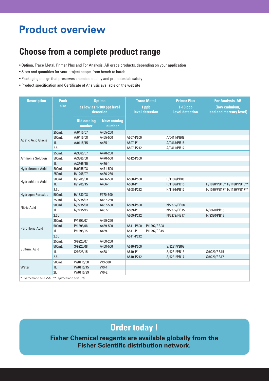# **Product overview**

# **Choose from a complete product range**

- Optima, Trace Metal, Primar Plus and For Analysis, AR grade products, depending on your application
- Sizes and quantities for your project scope, from bench to batch
- Packaging design that preserves chemical quality and promotes lab safety
- Product specification and Certificate of Analysis available on the website

| <b>Description</b>                               | <b>Pack</b><br>size | <b>Optima</b><br>as low as 1-100 ppt level<br>detection |                              | <b>Trace Metal</b><br>1 ppb<br>level detection |             | <b>Primar Plus</b><br>$1-10$ ppb<br>level detection | <b>For Analysis, AR</b><br>(low cadmium,<br><b>lead and mercury level)</b> |
|--------------------------------------------------|---------------------|---------------------------------------------------------|------------------------------|------------------------------------------------|-------------|-----------------------------------------------------|----------------------------------------------------------------------------|
|                                                  |                     | <b>Old catalog</b><br>number                            | <b>New catalog</b><br>number |                                                |             |                                                     |                                                                            |
| <b>Acetic Acid Glacial</b>                       | 250mL               | A/0415/07                                               | A465-250                     |                                                |             |                                                     |                                                                            |
|                                                  | 500mL               | A/0415/08                                               | A465-500                     | A507-P500                                      |             | A/0411/PB08                                         |                                                                            |
|                                                  | 1 <sub>L</sub>      | A/0415/15                                               | A465-1                       | A507-P1                                        |             | A/0418/PB15                                         |                                                                            |
|                                                  | 2.5L                |                                                         |                              | A507-P212                                      |             | A/0411/PB17                                         |                                                                            |
| Ammonia Solution                                 | 250mL               | A/3365/07                                               | A470-250                     |                                                |             |                                                     |                                                                            |
|                                                  | 500mL               | A/3365/08                                               | A470-500                     | A512-P500                                      |             |                                                     |                                                                            |
|                                                  | 1 <sub>L</sub>      | A/3365/15                                               | A470-1                       |                                                |             |                                                     |                                                                            |
| <b>Hydrobromic Acid</b>                          | 500mL               | H/0955/08                                               | A471-500                     |                                                |             |                                                     |                                                                            |
| Hydrochloric Acid                                | 250mL               | H/1205/07                                               | A466-250                     |                                                |             |                                                     |                                                                            |
|                                                  | 500mL               | H/1205/08                                               | A466-500                     | A508-P500                                      |             | H/1196/PB08                                         |                                                                            |
|                                                  | 1 <sub>L</sub>      | H/1205/15                                               | A466-1                       | A508-P1                                        |             | H/1196/PB15                                         | H/1020/PB15* H/1180/PB15**                                                 |
|                                                  | 2.5L                |                                                         |                              | A508-P212                                      |             | H/1196/PB17                                         | H/1020/PB17* H/1180/PB17**                                                 |
| Hydrogen Peroxide                                | 500mL               | H/1830/08                                               | P170-500                     |                                                |             |                                                     |                                                                            |
| Nitric Acid                                      | 250mL               | N/2275/07                                               | A467-250                     |                                                |             |                                                     |                                                                            |
|                                                  | 500mL               | N/2275/08                                               | A467-500                     | A509-P500                                      |             | N/2272/PB08                                         |                                                                            |
|                                                  | 1 <sub>L</sub>      | N/2275/15                                               | A467-1                       | A509-P1                                        |             | N/2272/PB15                                         | N/2320/PB15                                                                |
|                                                  | 2.5L                |                                                         |                              | A509-P212                                      |             | N/2272/PB17                                         | N/2320/PB17                                                                |
| <b>Perchloric Acid</b>                           | 250mL               | P/1295/07                                               | A469-250                     |                                                |             |                                                     |                                                                            |
|                                                  | 500mL               | P/1295/08                                               | A469-500                     | A511-P500                                      | P/1292/PB08 |                                                     |                                                                            |
|                                                  | 1 <sub>L</sub>      | P/1295/15                                               | A469-1                       | A511-P1                                        | P/1292/PB15 |                                                     |                                                                            |
|                                                  | 2.5L                |                                                         |                              | A511-P212                                      |             |                                                     |                                                                            |
| Sulfuric Acid                                    | 250mL               | S/9225/07                                               | A468-250                     |                                                |             |                                                     |                                                                            |
|                                                  | 500mL               | S/9225/08                                               | A468-500                     | A510-P500                                      |             | S/9231/PB08                                         |                                                                            |
|                                                  | 1 <sub>L</sub>      | S/9225/15                                               | A468-1                       | A510-P1                                        |             | S/9231/PB15                                         | S/9220/PB15                                                                |
|                                                  | 2.5L                |                                                         |                              | A510-P212                                      |             | S/9231/PB17                                         | S/9220/PB17                                                                |
| Water                                            | 500mL               | W/0115/08                                               | W9-500                       |                                                |             |                                                     |                                                                            |
|                                                  | 1 <sub>L</sub>      | W/0115/15                                               | $W9-1$                       |                                                |             |                                                     |                                                                            |
|                                                  | 2L                  | W/0115/99                                               | $W9-2$                       |                                                |             |                                                     |                                                                            |
| * Hydrochloric acid 25% ** Hydrochloric acid 37% |                     |                                                         |                              |                                                |             |                                                     |                                                                            |

# **Order today !**

**Fisher Chemical reagents are available globally from the Fisher Scientific distribution network.**